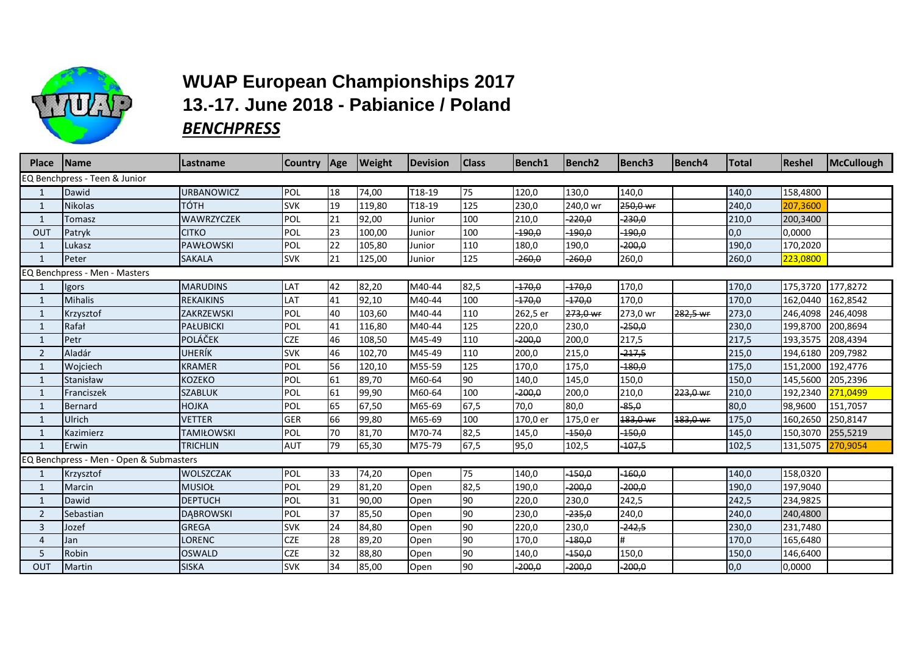

## **WUAP European Championships 2017 13.-17. June 2018 - Pabianice / Poland** *BENCHPRESS*

| <b>Place</b>   | <b>Name</b>                             | Lastname          | <b>Country</b> | Age | <b>Weight</b> | <b>Devision</b> | <b>Class</b> | <b>Bench1</b> | Bench <sub>2</sub> | <b>Bench3</b> | Bench <sub>4</sub> | <b>Total</b> | <b>Reshel</b> | McCullough |
|----------------|-----------------------------------------|-------------------|----------------|-----|---------------|-----------------|--------------|---------------|--------------------|---------------|--------------------|--------------|---------------|------------|
|                | EQ Benchpress - Teen & Junior           |                   |                |     |               |                 |              |               |                    |               |                    |              |               |            |
|                | Dawid                                   | <b>URBANOWICZ</b> | POL            | 18  | 74,00         | T18-19          | 75           | 120,0         | 130,0              | 140,0         |                    | 140,0        | 158,4800      |            |
| 1              | <b>Nikolas</b>                          | TÓTH              | <b>SVK</b>     | 19  | 119,80        | T18-19          | 125          | 230,0         | 240,0 wr           | 250,0 wr      |                    | 240,0        | 207,3600      |            |
| 1              | Tomasz                                  | WAWRZYCZEK        | POL            | 21  | 92,00         | Junior          | 100          | 210,0         | $-220,0$           | $-230,0$      |                    | 210,0        | 200,3400      |            |
| OUT            | Patryk                                  | <b>CITKO</b>      | POL            | 23  | 100,00        | Junior          | 100          | $-190,0$      | $-190,0$           | $-190,0$      |                    | 0,0          | 0,0000        |            |
| $\mathbf{1}$   | Lukasz                                  | <b>PAWŁOWSKI</b>  | POL            | 22  | 105,80        | Junior          | 110          | 180,0         | 190,0              | $-200,0$      |                    | 190,0        | 170,2020      |            |
| $\mathbf 1$    | Peter                                   | <b>SAKALA</b>     | <b>SVK</b>     | 21  | 125,00        | Junior          | 125          | $-260,0$      | $-260,0$           | 260,0         |                    | 260,0        | 223,0800      |            |
|                | EQ Benchpress - Men - Masters           |                   |                |     |               |                 |              |               |                    |               |                    |              |               |            |
|                | Igors                                   | <b>MARUDINS</b>   | LAT            | 42  | 82,20         | M40-44          | 82,5         | $-170,0$      | $-170,0$           | 170,0         |                    | 170,0        | 175,3720      | 177,8272   |
| $\mathbf{1}$   | <b>Mihalis</b>                          | <b>REKAIKINS</b>  | LAT            | 41  | 92,10         | M40-44          | 100          | $-170,0$      | -170,0             | 170,0         |                    | 170,0        | 162,0440      | 162,8542   |
| 1              | Krzysztof                               | ZAKRZEWSKI        | POL            | 40  | 103,60        | M40-44          | 110          | 262,5 er      | 273,0 wr           | 273,0 wr      | 282,5 wr           | 273,0        | 246,4098      | 246,4098   |
|                | Rafał                                   | <b>PAŁUBICKI</b>  | POL            | 41  | 116,80        | M40-44          | 125          | 220,0         | 230,0              | $-250,0$      |                    | 230,0        | 199,8700      | 200,8694   |
| $\mathbf{1}$   | Petr                                    | <b>POLÁČEK</b>    | <b>CZE</b>     | 46  | 108,50        | M45-49          | 110          | $-200,0$      | 200,0              | 217,5         |                    | 217,5        | 193,3575      | 208,4394   |
| $\overline{2}$ | Aladár                                  | UHERÍK            | <b>SVK</b>     | 46  | 102,70        | M45-49          | 110          | 200,0         | 215,0              | $-217,5$      |                    | 215,0        | 194,6180      | 209,7982   |
| 1              | Wojciech                                | <b>KRAMER</b>     | POL            | 56  | 120,10        | M55-59          | 125          | 170,0         | 175,0              | $-180,0$      |                    | 175,0        | 151,2000      | 192,4776   |
| $\mathbf{1}$   | Stanisław                               | <b>KOZEKO</b>     | POL            | 61  | 89,70         | M60-64          | 90           | 140,0         | 145,0              | 150,0         |                    | 150,0        | 145,5600      | 205,2396   |
| 1              | Franciszek                              | <b>SZABLUK</b>    | POL            | 61  | 99,90         | M60-64          | 100          | $-200,0$      | 200,0              | 210,0         | 223,0 wr           | 210,0        | 192,2340      | 271,0499   |
| 1              | Bernard                                 | <b>HOJKA</b>      | POL            | 65  | 67,50         | M65-69          | 67,5         | 70,0          | 80,0               | $-85,0$       |                    | 80,0         | 98,9600       | 151,7057   |
| $\mathbf{1}$   | Ulrich                                  | <b>VETTER</b>     | <b>GER</b>     | 66  | 99,80         | M65-69          | 100          | 170,0 er      | 175,0 er           | 183,0 wr      | 183,0 wr           | 175,0        | 160,2650      | 250,8147   |
| 1              | Kazimierz                               | <b>TAMIŁOWSKI</b> | POL            | 70  | 81,70         | M70-74          | 82,5         | 145,0         | $-150,0$           | $-150,0$      |                    | 145,0        | 150,3070      | 255,5219   |
| 1              | Erwin                                   | <b>TRICHLIN</b>   | <b>AUT</b>     | 79  | 65,30         | M75-79          | 67,5         | 95,0          | 102,5              | $-107,5$      |                    | 102,5        | 131,5075      | 270,9054   |
|                | EQ Benchpress - Men - Open & Submasters |                   |                |     |               |                 |              |               |                    |               |                    |              |               |            |
|                | Krzysztof                               | WOLSZCZAK         | POL            | 33  | 74,20         | Open            | 75           | 140,0         | $-150,0$           | $-160,0$      |                    | 140,0        | 158,0320      |            |
| 1              | Marcin                                  | <b>MUSIOŁ</b>     | POL            | 29  | 81,20         | Open            | 82,5         | 190,0         | $-200,0$           | $-200,0$      |                    | 190,0        | 197,9040      |            |
| 1              | Dawid                                   | <b>DEPTUCH</b>    | POL            | 31  | 90,00         | Open            | 90           | 220,0         | 230,0              | 242,5         |                    | 242,5        | 234,9825      |            |
| $\overline{2}$ | Sebastian                               | <b>DABROWSKI</b>  | POL            | 37  | 85,50         | Open            | 90           | 230,0         | $-235,0$           | 240,0         |                    | 240,0        | 240,4800      |            |
| $\overline{3}$ | Jozef                                   | <b>GREGA</b>      | <b>SVK</b>     | 24  | 84,80         | Open            | 90           | 220,0         | 230,0              | -242,5        |                    | 230,0        | 231,7480      |            |
| 4              | Jan                                     | <b>LORENC</b>     | <b>CZE</b>     | 28  | 89,20         | Open            | 90           | 170,0         | -180,0             |               |                    | 170,0        | 165,6480      |            |
| .5             | Robin                                   | <b>OSWALD</b>     | <b>CZE</b>     | 32  | 88,80         | Open            | 90           | 140,0         | $-150,0$           | 150,0         |                    | 150,0        | 146,6400      |            |
| OUT            | Martin                                  | <b>SISKA</b>      | <b>SVK</b>     | 34  | 85,00         | Open            | 90           | $-200,0$      | $-200,0$           | $-200,0$      |                    | 0,0          | 0,0000        |            |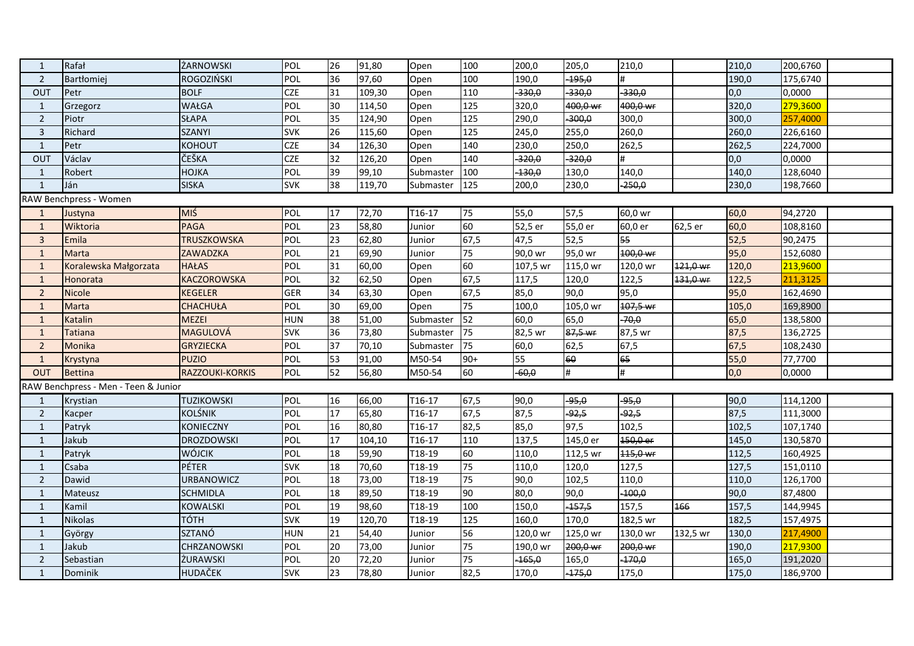| $\mathbf{1}$   | Rafał                                | ŻARNOWSKI          | POL        | 26              | 91,80  | Open      | 100   | 200,0    | 205,0    | 210,0    |          | 210,0              | 200,6760 |  |
|----------------|--------------------------------------|--------------------|------------|-----------------|--------|-----------|-------|----------|----------|----------|----------|--------------------|----------|--|
| $\overline{2}$ | <b>Bart</b> tomiej                   | ROGOZIŃSKI         | POL        | 36              | 97,60  | Open      | 100   | 190,0    | $-195,0$ |          |          | 190,0              | 175,6740 |  |
| OUT            | Petr                                 | <b>BOLF</b>        | <b>CZE</b> | 31              | 109,30 | Open      | 110   | $-330,0$ | $-330,0$ | $-330,0$ |          | 0,0                | 0,0000   |  |
| $\mathbf{1}$   | Grzegorz                             | WAŁGA              | POL        | 30              | 114,50 | Open      | 125   | 320,0    | 400,0 wr | 400,0 wr |          | 320,0              | 279,3600 |  |
| $\overline{2}$ | Piotr                                | <b>SŁAPA</b>       | POL        | 35              | 124,90 | Open      | 125   | 290,0    | $-300,0$ | 300,0    |          | 300,0              | 257,4000 |  |
| $\overline{3}$ | Richard                              | <b>SZANYI</b>      | <b>SVK</b> | $\overline{26}$ | 115,60 | Open      | 125   | 245,0    | 255,0    | 260,0    |          | 260,0              | 226,6160 |  |
| $\mathbf{1}$   | Petr                                 | <b>KOHOUT</b>      | <b>CZE</b> | 34              | 126,30 | Open      | 140   | 230,0    | 250,0    | 262,5    |          | $\overline{262,5}$ | 224,7000 |  |
| OUT            | Václav                               | ČEŠKA              | <b>CZE</b> | 32              | 126,20 | Open      | 140   | $-320,0$ | $-320,0$ | #        |          | 0,0                | 0,0000   |  |
| $\mathbf{1}$   | Robert                               | HOJKA              | POL        | 39              | 99,10  | Submaster | 100   | $-130,0$ | 130,0    | 140,0    |          | 140,0              | 128,6040 |  |
| $\mathbf{1}$   | Ján                                  | <b>SISKA</b>       | <b>SVK</b> | $\overline{38}$ | 119,70 | Submaster | 125   | 200,0    | 230,0    | $-250,0$ |          | 230,0              | 198,7660 |  |
|                | RAW Benchpress - Women               |                    |            |                 |        |           |       |          |          |          |          |                    |          |  |
| $\mathbf{1}$   | Justyna                              | MIŚ                | POL        | 17              | 72,70  | T16-17    | 75    | 55,0     | 57,5     | 60,0 wr  |          | 60,0               | 94,2720  |  |
| 1              | Wiktoria                             | <b>PAGA</b>        | POL        | 23              | 58,80  | Junior    | 60    | 52,5 er  | 55,0 er  | 60,0 er  | 62,5 er  | 60,0               | 108,8160 |  |
| $\overline{3}$ | Emila                                | <b>TRUSZKOWSKA</b> | POL        | 23              | 62,80  | Junior    | 67,5  | 47,5     | 52,5     | 55       |          | 52,5               | 90,2475  |  |
| $\mathbf{1}$   | Marta                                | <b>ZAWADZKA</b>    | POL        | $\overline{21}$ | 69,90  | Junior    | 75    | 90,0 wr  | 95,0 wr  | 100,0 wr |          | 95,0               | 152,6080 |  |
| $\mathbf{1}$   | Koralewska Małgorzata                | <b>HAŁAS</b>       | POL        | 31              | 60,00  | Open      | 60    | 107,5 wr | 115,0 wr | 120,0 wr | 121,0 wr | 120,0              | 213,9600 |  |
| 1              | Honorata                             | <b>KACZOROWSKA</b> | POL        | 32              | 62,50  | Open      | 67,5  | 117,5    | 120,0    | 122,5    | 131,0 wr | 122,5              | 211,3125 |  |
| $\overline{2}$ | <b>Nicole</b>                        | <b>KEGELER</b>     | <b>GER</b> | 34              | 63,30  | Open      | 67,5  | 85,0     | 90,0     | 95,0     |          | 95,0               | 162,4690 |  |
| $\mathbf{1}$   | Marta                                | <b>CHACHUŁA</b>    | POL        | 30              | 69,00  | Open      | 75    | 100,0    | 105,0 wr | 107,5 wr |          | 105,0              | 169,8900 |  |
| $\mathbf{1}$   | Katalin                              | <b>MEZEI</b>       | <b>HUN</b> | 38              | 51,00  | Submaster | 52    | 60,0     | 65,0     | $-70,0$  |          | 65,0               | 138,5800 |  |
| $\mathbf{1}$   | <b>Tatiana</b>                       | MAGULOVÁ           | <b>SVK</b> | 36              | 73,80  | Submaster | 75    | 82,5 wr  | 87,5 wr  | 87,5 wr  |          | 87,5               | 136,2725 |  |
| $\overline{2}$ | Monika                               | <b>GRYZIECKA</b>   | POL        | 37              | 70,10  | Submaster | 75    | 60,0     | 62,5     | 67,5     |          | 67,5               | 108,2430 |  |
| $\mathbf{1}$   | Krystyna                             | <b>PUZIO</b>       | POL        | 53              | 91,00  | M50-54    | $90+$ | 55       | 60       | 65       |          | 55,0               | 77,7700  |  |
| OUT            | <b>Bettina</b>                       | RAZZOUKI-KORKIS    | POL        | 52              | 56,80  | M50-54    | 60    | $-60,0$  | #        | #        |          | 0,0                | 0,0000   |  |
|                | RAW Benchpress - Men - Teen & Junior |                    |            |                 |        |           |       |          |          |          |          |                    |          |  |
| 1              | Krystian                             | <b>TUZIKOWSKI</b>  | POL        | 16              | 66,00  | $T16-17$  | 67,5  | 90,0     | $-95,0$  | $-95,0$  |          | 90,0               | 114,1200 |  |
| $\overline{2}$ | Kacper                               | <b>KOLŚNIK</b>     | POL        | 17              | 65,80  | $T16-17$  | 67,5  | 87,5     | $-92,5$  | $-92,5$  |          | 87,5               | 111,3000 |  |
| $\mathbf{1}$   | Patryk                               | <b>KONIECZNY</b>   | POL        | 16              | 80,80  | T16-17    | 82,5  | 85,0     | 97,5     | 102,5    |          | 102,5              | 107,1740 |  |
| 1              | Jakub                                | <b>DROZDOWSKI</b>  | POL        | 17              | 104,10 | T16-17    | 110   | 137,5    | 145,0 er | 150,0 er |          | 145,0              | 130,5870 |  |
| $\mathbf{1}$   | Patryk                               | WÓJCIK             | POL        | 18              | 59,90  | T18-19    | 60    | 110,0    | 112,5 wr | 115,0 wr |          | 112,5              | 160,4925 |  |
| $\mathbf{1}$   | Csaba                                | <b>PÉTER</b>       | <b>SVK</b> | 18              | 70,60  | T18-19    | 75    | 110,0    | 120,0    | 127,5    |          | 127,5              | 151,0110 |  |
| $\overline{2}$ | Dawid                                | <b>URBANOWICZ</b>  | POL        | 18              | 73,00  | T18-19    | 75    | 90,0     | 102,5    | 110,0    |          | 110,0              | 126,1700 |  |
| $\mathbf{1}$   | Mateusz                              | <b>SCHMIDLA</b>    | POL        | 18              | 89,50  | T18-19    | 90    | 80,0     | 90,0     | $-100,0$ |          | 90,0               | 87,4800  |  |
| $\mathbf{1}$   | Kamil                                | KOWALSKI           | POL        | 19              | 98,60  | T18-19    | 100   | 150,0    | $-157,5$ | 157,5    | 166      | 157,5              | 144,9945 |  |
| $\mathbf{1}$   | Nikolas                              | <b>TÓTH</b>        | <b>SVK</b> | 19              | 120,70 | T18-19    | 125   | 160,0    | 170,0    | 182,5 wr |          | 182,5              | 157,4975 |  |
| $\mathbf{1}$   | György                               | SZTANÓ             | <b>HUN</b> | $\overline{21}$ | 54,40  | Junior    | 56    | 120,0 wr | 125,0 wr | 130,0 wr | 132,5 wr | 130,0              | 217,4900 |  |
| $\mathbf{1}$   | Jakub                                | <b>CHRZANOWSKI</b> | POL        | 20              | 73,00  | Junior    | 75    | 190,0 wr | 200,0 wr | 200,0 wr |          | 190,0              | 217,9300 |  |
| $\overline{2}$ | Sebastian                            | ŻURAWSKI           | POL        | 20              | 72,20  | Junior    | 75    | $-165,0$ | 165,0    | $-170,0$ |          | 165,0              | 191,2020 |  |
| $\mathbf{1}$   | Dominik                              | HUDAČEK            | <b>SVK</b> | $\overline{23}$ | 78,80  | Junior    | 82,5  | 170,0    | $-175,0$ | 175,0    |          | 175,0              | 186,9700 |  |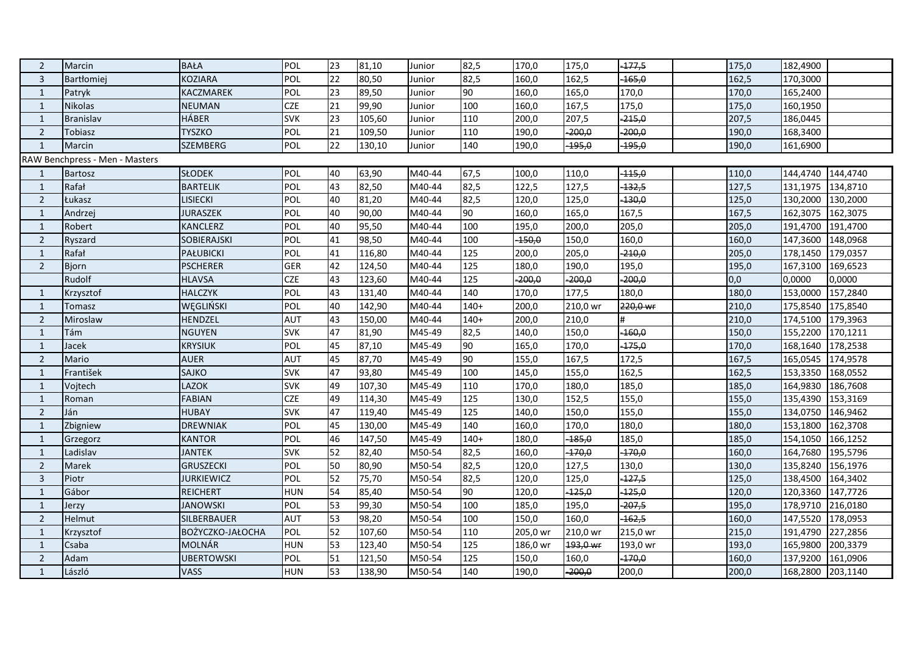| $\overline{2}$ | Marcin                         | <b>BAŁA</b>       | POL        | 23 | 81,10  | Junior | 82,5   | 170,0    | 175,0    | $-177,5$ | 175,0 | 182,4900 |          |
|----------------|--------------------------------|-------------------|------------|----|--------|--------|--------|----------|----------|----------|-------|----------|----------|
| 3              | <b>Bart</b> omiej              | <b>KOZIARA</b>    | POL        | 22 | 80,50  | Junior | 82,5   | 160,0    | 162,5    | $-165,0$ | 162,5 | 170,3000 |          |
| $\mathbf{1}$   | Patryk                         | KACZMAREK         | POL        | 23 | 89,50  | Junior | 90     | 160,0    | 165,0    | 170,0    | 170,0 | 165,2400 |          |
| $\mathbf{1}$   | <b>Nikolas</b>                 | <b>NEUMAN</b>     | <b>CZE</b> | 21 | 99,90  | Junior | 100    | 160,0    | 167,5    | 175,0    | 175,0 | 160,1950 |          |
| $\mathbf{1}$   | Branislav                      | <b>HÁBER</b>      | <b>SVK</b> | 23 | 105,60 | Junior | 110    | 200,0    | 207,5    | $-215,0$ | 207,5 | 186,0445 |          |
| $\overline{2}$ | Tobiasz                        | <b>TYSZKO</b>     | POL        | 21 | 109,50 | Junior | 110    | 190,0    | $-200,0$ | $-200,0$ | 190,0 | 168,3400 |          |
| $\mathbf{1}$   | Marcin                         | <b>SZEMBERG</b>   | POL        | 22 | 130,10 | Junior | 140    | 190,0    | $-195,0$ | $-195,0$ | 190,0 | 161,6900 |          |
|                | RAW Benchpress - Men - Masters |                   |            |    |        |        |        |          |          |          |       |          |          |
| 1              | <b>Bartosz</b>                 | <b>SŁODEK</b>     | POL        | 40 | 63,90  | M40-44 | 67,5   | 100,0    | 110,0    | $-115,0$ | 110,0 | 144,4740 | 144,4740 |
| 1              | Rafał                          | <b>BARTELIK</b>   | POL        | 43 | 82,50  | M40-44 | 82,5   | 122,5    | 127,5    | $-132,5$ | 127,5 | 131,1975 | 134,8710 |
| $\overline{2}$ | Łukasz                         | LISIECKI          | POL        | 40 | 81,20  | M40-44 | 82,5   | 120,0    | 125,0    | $-130,0$ | 125,0 | 130,2000 | 130,2000 |
| $\mathbf{1}$   | Andrzei                        | <b>JURASZEK</b>   | POL        | 40 | 90,00  | M40-44 | 90     | 160,0    | 165,0    | 167,5    | 167,5 | 162,3075 | 162,3075 |
| $\mathbf{1}$   | Robert                         | <b>KANCLERZ</b>   | POL        | 40 | 95,50  | M40-44 | 100    | 195,0    | 200,0    | 205,0    | 205,0 | 191,4700 | 191,4700 |
| $\overline{2}$ | Ryszard                        | SOBIERAJSKI       | POL        | 41 | 98,50  | M40-44 | 100    | $-150,0$ | 150,0    | 160,0    | 160,0 | 147,3600 | 148,0968 |
| $\mathbf{1}$   | Rafał                          | PAŁUBICKI         | POL        | 41 | 116,80 | M40-44 | 125    | 200,0    | 205,0    | $-210,0$ | 205,0 | 178,1450 | 179,0357 |
| $\overline{2}$ | <b>Bjorn</b>                   | <b>PSCHERER</b>   | <b>GER</b> | 42 | 124,50 | M40-44 | 125    | 180,0    | 190,0    | 195,0    | 195,0 | 167,3100 | 169,6523 |
|                | Rudolf                         | <b>HLAVSA</b>     | <b>CZE</b> | 43 | 123,60 | M40-44 | 125    | $-200,0$ | $-200,0$ | $-200,0$ | 0,0   | 0,0000   | 0,0000   |
| $\mathbf{1}$   | Krzysztof                      | <b>HALCZYK</b>    | POL        | 43 | 131,40 | M40-44 | 140    | 170,0    | 177,5    | 180,0    | 180,0 | 153,0000 | 157,2840 |
| $\mathbf{1}$   | Tomasz                         | WĘGLIŃSKI         | POL        | 40 | 142,90 | M40-44 | $140+$ | 200,0    | 210,0 wr | 220,0 wr | 210,0 | 175,8540 | 175,8540 |
| $\overline{2}$ | Miroslaw                       | HENDZEL           | <b>AUT</b> | 43 | 150,00 | M40-44 | $140+$ | 200,0    | 210,0    |          | 210,0 | 174,5100 | 179,3963 |
| $\mathbf{1}$   | Tám                            | <b>NGUYEN</b>     | <b>SVK</b> | 47 | 81,90  | M45-49 | 82,5   | 140,0    | 150,0    | $-160,0$ | 150,0 | 155,2200 | 170,1211 |
| $\mathbf{1}$   | Jacek                          | <b>KRYSIUK</b>    | POL        | 45 | 87,10  | M45-49 | 90     | 165,0    | 170,0    | $-175,0$ | 170,0 | 168,1640 | 178,2538 |
| $\overline{2}$ | Mario                          | <b>AUER</b>       | <b>AUT</b> | 45 | 87,70  | M45-49 | 90     | 155,0    | 167,5    | 172,5    | 167,5 | 165,0545 | 174,9578 |
| $\mathbf{1}$   | František                      | SAJKO             | <b>SVK</b> | 47 | 93,80  | M45-49 | 100    | 145,0    | 155,0    | 162,5    | 162,5 | 153,3350 | 168,0552 |
| $\mathbf{1}$   | Vojtech                        | LAZOK             | <b>SVK</b> | 49 | 107,30 | M45-49 | 110    | 170,0    | 180,0    | 185,0    | 185,0 | 164,9830 | 186,7608 |
| $\mathbf{1}$   | Roman                          | <b>FABIAN</b>     | <b>CZE</b> | 49 | 114,30 | M45-49 | 125    | 130,0    | 152,5    | 155,0    | 155,0 | 135,4390 | 153,3169 |
| $\overline{2}$ | Ján                            | <b>HUBAY</b>      | <b>SVK</b> | 47 | 119,40 | M45-49 | 125    | 140,0    | 150,0    | 155,0    | 155,0 | 134,0750 | 146,9462 |
| $\mathbf{1}$   | Zbigniew                       | <b>DREWNIAK</b>   | POL        | 45 | 130,00 | M45-49 | 140    | 160,0    | 170,0    | 180,0    | 180,0 | 153,1800 | 162,3708 |
| $\mathbf{1}$   | Grzegorz                       | <b>KANTOR</b>     | POL        | 46 | 147,50 | M45-49 | $140+$ | 180,0    | $-185,0$ | 185,0    | 185,0 | 154,1050 | 166,1252 |
| $\mathbf{1}$   | Ladislav                       | <b>JANTEK</b>     | <b>SVK</b> | 52 | 82,40  | M50-54 | 82,5   | 160,0    | $-170,0$ | $-170,0$ | 160,0 | 164,7680 | 195,5796 |
| $\overline{2}$ | Marek                          | <b>GRUSZECKI</b>  | POL        | 50 | 80,90  | M50-54 | 82,5   | 120,0    | 127,5    | 130,0    | 130,0 | 135,8240 | 156,1976 |
| $\overline{3}$ | Piotr                          | <b>JURKIEWICZ</b> | POL        | 52 | 75,70  | M50-54 | 82,5   | 120,0    | 125,0    | $-127,5$ | 125,0 | 138,4500 | 164,3402 |
| $\mathbf{1}$   | Gábor                          | <b>REICHERT</b>   | <b>HUN</b> | 54 | 85,40  | M50-54 | 90     | 120,0    | $-125,0$ | $-125,0$ | 120,0 | 120,3360 | 147,7726 |
| $\mathbf{1}$   | Jerzy                          | <b>JANOWSKI</b>   | POL        | 53 | 99,30  | M50-54 | 100    | 185,0    | 195,0    | $-207,5$ | 195,0 | 178,9710 | 216,0180 |
| $\overline{2}$ | Helmut                         | SILBERBAUER       | <b>AUT</b> | 53 | 98,20  | M50-54 | 100    | 150,0    | 160,0    | $-162,5$ | 160,0 | 147,5520 | 178,0953 |
| $\mathbf{1}$   | Krzysztof                      | BOZYCZKO-JAŁOCHA  | POL        | 52 | 107,60 | M50-54 | 110    | 205,0 wr | 210,0 wr | 215,0 wr | 215,0 | 191,4790 | 227,2856 |
| $\mathbf{1}$   | Csaba                          | <b>MOLNÁR</b>     | <b>HUN</b> | 53 | 123,40 | M50-54 | 125    | 186,0 wr | 193,0 wr | 193,0 wr | 193,0 | 165,9800 | 200,3379 |
| $\overline{2}$ | Adam                           | <b>UBERTOWSKI</b> | <b>POL</b> | 51 | 121,50 | M50-54 | 125    | 150,0    | 160,0    | $-170,0$ | 160,0 | 137,9200 | 161,0906 |
| $\mathbf{1}$   | László                         | <b>VASS</b>       | <b>HUN</b> | 53 | 138,90 | M50-54 | 140    | 190,0    | $-200,0$ | 200,0    | 200,0 | 168,2800 | 203,1140 |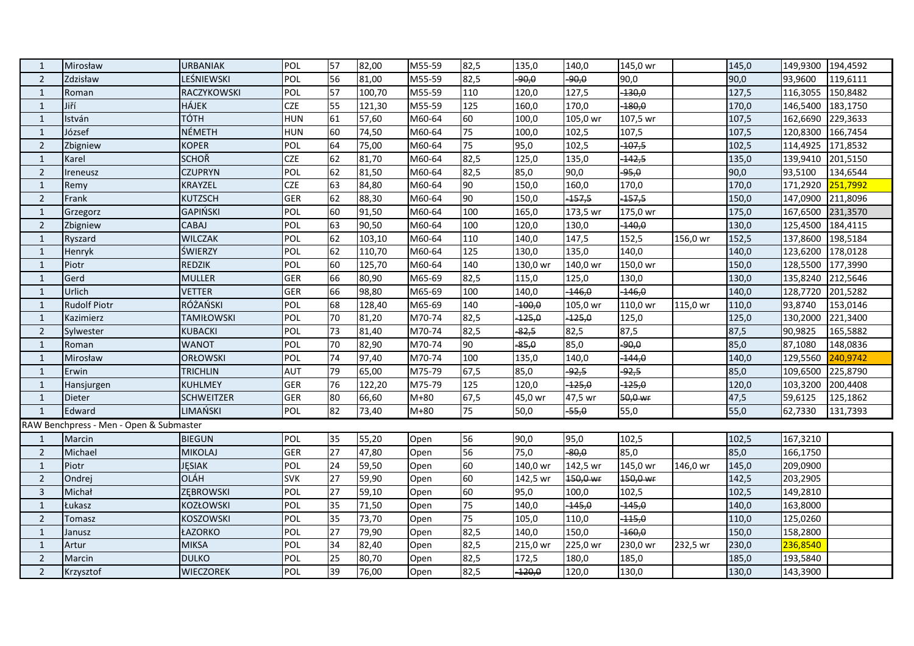| $\mathbf{1}$   | Mirosław                                | <b>URBANIAK</b>   | POL        | 57 | 82,00  | M55-59 | 82,5 | 135,0    | 140,0    | 145,0 wr |          | 145,0 | 149,9300 194,4592 |          |
|----------------|-----------------------------------------|-------------------|------------|----|--------|--------|------|----------|----------|----------|----------|-------|-------------------|----------|
| 2              | Zdzisław                                | LEŚNIEWSKI        | POL        | 56 | 81,00  | M55-59 | 82,5 | 90,0     | $-90,0$  | 90,0     |          | 90,0  | 93,9600           | 119,6111 |
| $\mathbf{1}$   | Roman                                   | RACZYKOWSKI       | POL        | 57 | 100,70 | M55-59 | 110  | 120,0    | 127,5    | $-130,0$ |          | 127,5 | 116,3055 150,8482 |          |
| $\mathbf{1}$   | Jiří                                    | <b>HÁJEK</b>      | <b>CZE</b> | 55 | 121,30 | M55-59 | 125  | 160,0    | 170,0    | $-180,0$ |          | 170,0 | 146,5400          | 183,1750 |
| $\mathbf{1}$   | István                                  | <b>TÓTH</b>       | <b>HUN</b> | 61 | 57,60  | M60-64 | 60   | 100,0    | 105,0 wr | 107,5 wr |          | 107,5 | 162,6690          | 229,3633 |
| $\mathbf{1}$   | József                                  | <b>NÉMETH</b>     | <b>HUN</b> | 60 | 74,50  | M60-64 | 75   | 100,0    | 102,5    | 107,5    |          | 107,5 | 120,8300          | 166,7454 |
| $\overline{2}$ | Zbigniew                                | <b>KOPER</b>      | POL        | 64 | 75,00  | M60-64 | 75   | 95,0     | 102,5    | $-107,5$ |          | 102,5 | 114,4925          | 171,8532 |
| $\mathbf{1}$   | Karel                                   | <b>SCHOŘ</b>      | <b>CZE</b> | 62 | 81,70  | M60-64 | 82,5 | 125,0    | 135,0    | $-142,5$ |          | 135,0 | 139,9410          | 201,5150 |
| $\overline{2}$ | Ireneusz                                | <b>CZUPRYN</b>    | POL        | 62 | 81,50  | M60-64 | 82,5 | 85,0     | 90,0     | $-95,0$  |          | 90,0  | 93,5100           | 134,6544 |
| $\mathbf{1}$   | Remy                                    | KRAYZEL           | <b>CZE</b> | 63 | 84,80  | M60-64 | 90   | 150,0    | 160,0    | 170,0    |          | 170,0 | 171,2920          | 251,7992 |
| $\overline{2}$ | Frank                                   | <b>KUTZSCH</b>    | <b>GER</b> | 62 | 88,30  | M60-64 | 90   | 150,0    | $-157,5$ | $-157,5$ |          | 150,0 | 147,0900          | 211,8096 |
| $\mathbf{1}$   | Grzegorz                                | <b>GAPIŃSKI</b>   | POL        | 60 | 91,50  | M60-64 | 100  | 165,0    | 173,5 wr | 175,0 wr |          | 175,0 | 167,6500          | 231,3570 |
| $\overline{2}$ | Zbigniew                                | <b>CABAJ</b>      | POL        | 63 | 90,50  | M60-64 | 100  | 120,0    | 130,0    | $-140,0$ |          | 130,0 | 125,4500          | 184,4115 |
| $\mathbf{1}$   | Ryszard                                 | <b>WILCZAK</b>    | POL        | 62 | 103,10 | M60-64 | 110  | 140,0    | 147,5    | 152,5    | 156,0 wr | 152,5 | 137,8600          | 198,5184 |
| $\mathbf{1}$   | Henryk                                  | ŚWIERZY           | POL        | 62 | 110,70 | M60-64 | 125  | 130,0    | 135,0    | 140,0    |          | 140,0 | 123,6200          | 178,0128 |
| $\mathbf{1}$   | Piotr                                   | <b>REDZIK</b>     | POL        | 60 | 125,70 | M60-64 | 140  | 130,0 wr | 140,0 wr | 150,0 wr |          | 150,0 | 128,5500          | 177,3990 |
| $\mathbf{1}$   | Gerd                                    | <b>MULLER</b>     | <b>GER</b> | 66 | 80,90  | M65-69 | 82,5 | 115,0    | 125,0    | 130,0    |          | 130,0 | 135,8240          | 212,5646 |
| $\mathbf{1}$   | Urlich                                  | <b>VETTER</b>     | <b>GER</b> | 66 | 98,80  | M65-69 | 100  | 140,0    | $-146,0$ | $-146,0$ |          | 140,0 | 128,7720          | 201,5282 |
| $\mathbf{1}$   | <b>Rudolf Piotr</b>                     | RÓŻAŃSKI          | POL        | 68 | 128,40 | M65-69 | 140  | $-100,0$ | 105,0 wr | 110,0 wr | 115,0 wr | 110,0 | 93,8740           | 153,0146 |
| $\mathbf{1}$   | Kazimierz                               | <b>TAMIŁOWSKI</b> | POL        | 70 | 81,20  | M70-74 | 82,5 | $-125,0$ | $-125,0$ | 125,0    |          | 125,0 | 130,2000          | 221,3400 |
| $\overline{2}$ | Sylwester                               | <b>KUBACKI</b>    | POL        | 73 | 81,40  | M70-74 | 82,5 | $-82,5$  | 82,5     | 87,5     |          | 87,5  | 90,9825           | 165,5882 |
| $\mathbf{1}$   | Roman                                   | <b>WANOT</b>      | POL        | 70 | 82,90  | M70-74 | 90   | $-85,0$  | 85,0     | -90,0    |          | 85,0  | 87,1080           | 148,0836 |
| 1              | Mirosław                                | <b>ORŁOWSKI</b>   | POL        | 74 | 97,40  | M70-74 | 100  | 135,0    | 140,0    | $-144,0$ |          | 140,0 | 129,5560          | 240,9742 |
| $\mathbf{1}$   | Erwin                                   | <b>TRICHLIN</b>   | <b>AUT</b> | 79 | 65,00  | M75-79 | 67,5 | 85,0     | $-92,5$  | $-92,5$  |          | 85,0  | 109,6500          | 225,8790 |
| $\mathbf{1}$   | Hansjurgen                              | <b>KUHLMEY</b>    | <b>GER</b> | 76 | 122,20 | M75-79 | 125  | 120,0    | $-125,0$ | $-125,0$ |          | 120,0 | 103,3200          | 200,4408 |
| $\mathbf{1}$   | <b>Dieter</b>                           | <b>SCHWEITZER</b> | <b>GER</b> | 80 | 66,60  | $M+80$ | 67,5 | 45,0 wr  | 47,5 wr  | 50,0 wr  |          | 47,5  | 59,6125           | 125,1862 |
| $\mathbf{1}$   | Edward                                  | LIMAŃSKI          | POL        | 82 | 73,40  | $M+80$ | 75   | 50,0     | $-55,0$  | 55,0     |          | 55,0  | 62,7330           | 131,7393 |
|                | RAW Benchpress - Men - Open & Submaster |                   |            |    |        |        |      |          |          |          |          |       |                   |          |
| 1              | Marcin                                  | <b>BIEGUN</b>     | POL        | 35 | 55,20  | Open   | 56   | 90,0     | 95,0     | 102,5    |          | 102,5 | 167,3210          |          |
| $\overline{2}$ | Michael                                 | <b>MIKOLAJ</b>    | <b>GER</b> | 27 | 47,80  | Open   | 56   | 75,0     | $-80,0$  | 85,0     |          | 85,0  | 166,1750          |          |
| $\mathbf{1}$   | Piotr                                   | JĘSIAK            | POL        | 24 | 59,50  | Open   | 60   | 140,0 wr | 142,5 wr | 145,0 wr | 146,0 wr | 145,0 | 209,0900          |          |
| 2              | Ondrej                                  | <b>OLÁH</b>       | <b>SVK</b> | 27 | 59,90  | Open   | 60   | 142,5 wr | 150,0 wr | 150,0 wr |          | 142,5 | 203,2905          |          |
| 3              | Michał                                  | ZĘBROWSKI         | POL        | 27 | 59,10  | Open   | 60   | 95,0     | 100,0    | 102,5    |          | 102,5 | 149,2810          |          |
| $\mathbf{1}$   | Łukasz                                  | KOZŁOWSKI         | POL        | 35 | 71,50  | Open   | 75   | 140,0    | $-445,0$ | $-145,0$ |          | 140,0 | 163,8000          |          |
| $\overline{2}$ | Tomasz                                  | KOSZOWSKI         | POL        | 35 | 73,70  | Open   | 75   | 105,0    | 110,0    | $-115,0$ |          | 110,0 | 125,0260          |          |
| $\mathbf{1}$   | Janusz                                  | ŁAZORKO           | POL        | 27 | 79,90  | Open   | 82,5 | 140,0    | 150,0    | $-160,0$ |          | 150,0 | 158,2800          |          |
| $\mathbf{1}$   | Artur                                   | <b>MIKSA</b>      | POL        | 34 | 82,40  | Open   | 82,5 | 215,0 wr | 225,0 wr | 230,0 wr | 232,5 wr | 230,0 | 236,8540          |          |
| $\overline{2}$ | Marcin                                  | <b>DULKO</b>      | POL        | 25 | 80,70  | Open   | 82,5 | 172,5    | 180,0    | 185,0    |          | 185,0 | 193,5840          |          |
| $\overline{2}$ | Krzysztof                               | <b>WIECZOREK</b>  | POL        | 39 | 76,00  | Open   | 82,5 | $-120,0$ | 120,0    | 130,0    |          | 130,0 | 143,3900          |          |